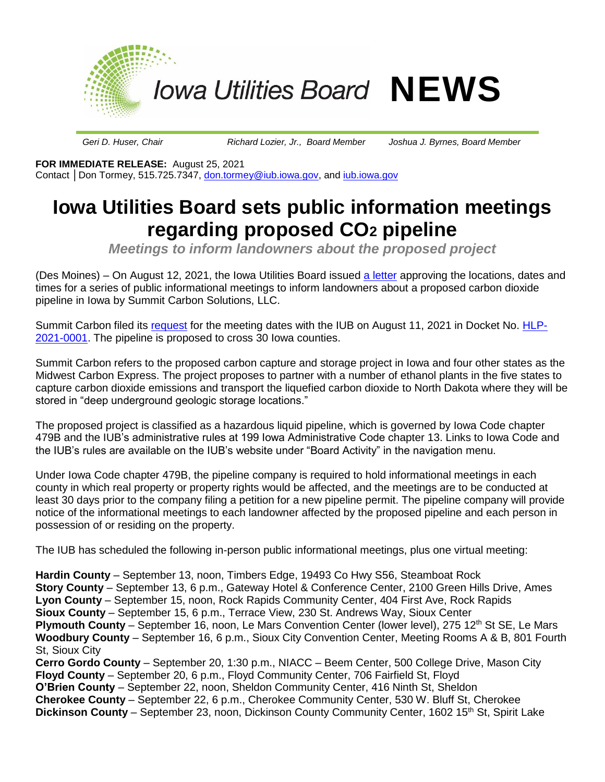

*Geri D. Huser, Chair Richard Lozier, Jr., Board Member Joshua J. Byrnes, Board Member*

**FOR IMMEDIATE RELEASE:** August 25, 2021 Contact **│**Don Tormey, 515.725.7347, [don.tormey@iub.iowa.gov,](mailto:don.tormey@iub.iowa.gov) and [iub.iowa.gov](https://iub.iowa.gov/)

## **Iowa Utilities Board sets public information meetings regarding proposed CO2 pipeline**

*Meetings to inform landowners about the proposed project*

(Des Moines) – On August 12, 2021, the Iowa Utilities Board issued [a letter](https://wcc.efs.iowa.gov/cs/idcplg?IdcService=GET_FILE&allowInterrupt=1&RevisionSelectionMethod=latest&dDocName=2068406&noSaveAs=1) approving the locations, dates and times for a series of public informational meetings to inform landowners about a proposed carbon dioxide pipeline in Iowa by Summit Carbon Solutions, LLC.

Summit Carbon filed its [request](https://wcc.efs.iowa.gov/cs/idcplg?IdcService=GET_FILE&allowInterrupt=1&RevisionSelectionMethod=latest&dDocName=2068116&noSaveAs=1) for the meeting dates with the IUB on August 11, 2021 in Docket No. [HLP-](https://efs.iowa.gov/efs/ShowDocketSummary.do?docketNumber=HLP-2021-0001)[2021-0001.](https://efs.iowa.gov/efs/ShowDocketSummary.do?docketNumber=HLP-2021-0001) The pipeline is proposed to cross 30 Iowa counties.

Summit Carbon refers to the proposed carbon capture and storage project in Iowa and four other states as the Midwest Carbon Express. The project proposes to partner with a number of ethanol plants in the five states to capture carbon dioxide emissions and transport the liquefied carbon dioxide to North Dakota where they will be stored in "deep underground geologic storage locations."

The proposed project is classified as a hazardous liquid pipeline, which is governed by Iowa Code chapter 479B and the IUB's administrative rules at 199 Iowa Administrative Code chapter 13. Links to Iowa Code and the IUB's rules are available on the IUB's website under "Board Activity" in the navigation menu.

Under Iowa Code chapter 479B, the pipeline company is required to hold informational meetings in each county in which real property or property rights would be affected, and the meetings are to be conducted at least 30 days prior to the company filing a petition for a new pipeline permit. The pipeline company will provide notice of the informational meetings to each landowner affected by the proposed pipeline and each person in possession of or residing on the property.

The IUB has scheduled the following in-person public informational meetings, plus one virtual meeting:

**Hardin County** – September 13, noon, Timbers Edge, 19493 Co Hwy S56, Steamboat Rock **Story County** – September 13, 6 p.m., Gateway Hotel & Conference Center, 2100 Green Hills Drive, Ames **Lyon County** – September 15, noon, Rock Rapids Community Center, 404 First Ave, Rock Rapids **Sioux County** – September 15, 6 p.m., Terrace View, 230 St. Andrews Way, Sioux Center **Plymouth County** – September 16, noon, Le Mars Convention Center (lower level), 275 12<sup>th</sup> St SE, Le Mars **Woodbury County** – September 16, 6 p.m., Sioux City Convention Center, Meeting Rooms A & B, 801 Fourth St, Sioux City **Cerro Gordo County** – September 20, 1:30 p.m., NIACC – Beem Center, 500 College Drive, Mason City **Floyd County** – September 20, 6 p.m., Floyd Community Center, 706 Fairfield St, Floyd **O'Brien County** – September 22, noon, Sheldon Community Center, 416 Ninth St, Sheldon **Cherokee County** – September 22, 6 p.m., Cherokee Community Center, 530 W. Bluff St, Cherokee **Dickinson County** – September 23, noon, Dickinson County Community Center, 1602 15<sup>th</sup> St, Spirit Lake